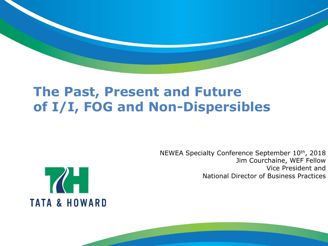## **The Past, Present and Future of I/I, FOG and Non-Dispersibles**

NEWEA Specialty Conference September 10th, 2018 Jim Courchaine, WEF Fellow Vice President and National Director of Business Practices

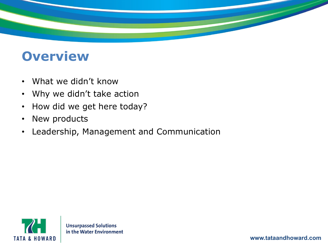

## **Overview**

- What we didn't know
- Why we didn't take action
- How did we get here today?
- New products
- Leadership, Management and Communication

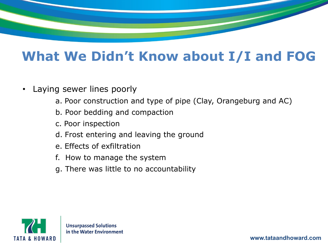## **What We Didn't Know about I/I and FOG**

- Laying sewer lines poorly
	- a. Poor construction and type of pipe (Clay, Orangeburg and AC)
	- b. Poor bedding and compaction
	- c. Poor inspection
	- d. Frost entering and leaving the ground
	- e. Effects of exfiltration
	- f. How to manage the system
	- g. There was little to no accountability



**www.tataandhoward.com**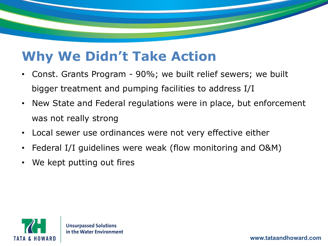## **Why We Didn't Take Action**

- Const. Grants Program 90%; we built relief sewers; we built bigger treatment and pumping facilities to address I/I
- New State and Federal regulations were in place, but enforcement was not really strong
- Local sewer use ordinances were not very effective either
- Federal I/I guidelines were weak (flow monitoring and O&M)
- We kept putting out fires

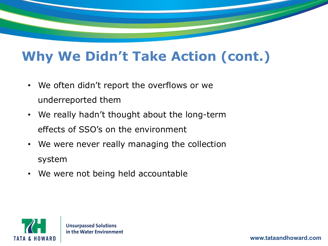# **Why We Didn't Take Action (cont.)**

- We often didn't report the overflows or we underreported them
- We really hadn't thought about the long-term effects of SSO's on the environment
- We were never really managing the collection system
- We were not being held accountable

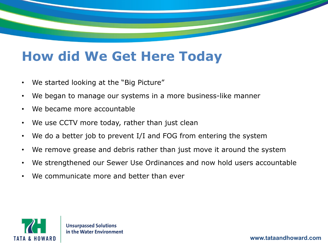## **How did We Get Here Today**

- We started looking at the "Big Picture"
- We began to manage our systems in a more business-like manner
- We became more accountable
- We use CCTV more today, rather than just clean
- We do a better job to prevent I/I and FOG from entering the system
- We remove grease and debris rather than just move it around the system
- We strengthened our Sewer Use Ordinances and now hold users accountable
- We communicate more and better than ever

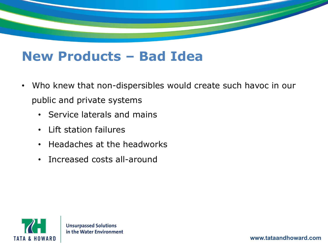## **New Products – Bad Idea**

- Who knew that non-dispersibles would create such havoc in our public and private systems
	- Service laterals and mains
	- Lift station failures
	- Headaches at the headworks
	- Increased costs all-around

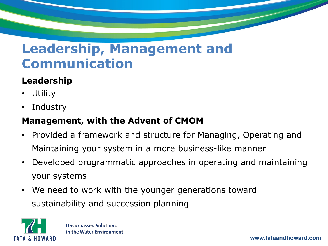## **Leadership, Management and Communication**

### **Leadership**

- Utility
- **Industry**

### **Management, with the Advent of CMOM**

- Provided a framework and structure for Managing, Operating and Maintaining your system in a more business-like manner
- Developed programmatic approaches in operating and maintaining your systems
- We need to work with the younger generations toward sustainability and succession planning

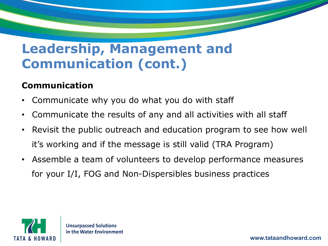## **Leadership, Management and Communication (cont.)**

#### **Communication**

- Communicate why you do what you do with staff
- Communicate the results of any and all activities with all staff
- Revisit the public outreach and education program to see how well it's working and if the message is still valid (TRA Program)
- Assemble a team of volunteers to develop performance measures for your I/I, FOG and Non-Dispersibles business practices

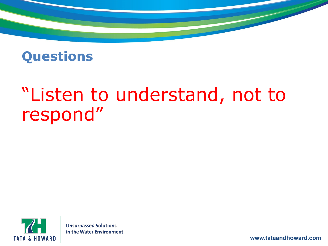## **Questions**

# "Listen to understand, not to respond"



**Unsurpassed Solutions** in the Water Environment

**www.tataandhoward.com**